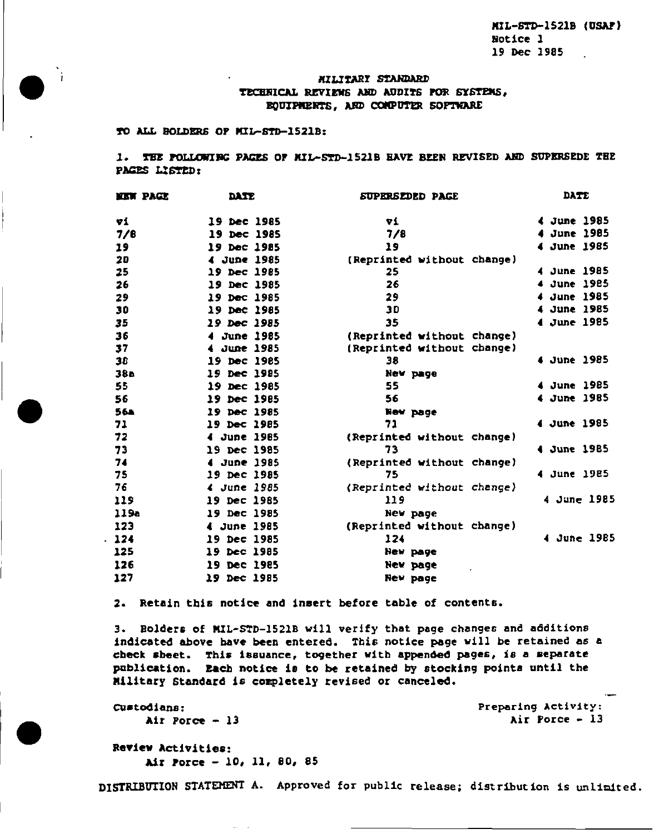MIL-STD-1521B (USAP) Notice 1 19 Dec 1985

# MILITARI STANDARD TECHNICAL REVIEWS AND AUDITS FOR SYSTEMS. EQUIPMENTS, AND CONPUTER SOFTWARE

TO ALL BOLDERS OF MIL-STD-1521B:

 $\ddot{ }$ 

1. THE POLLOWING PAGES OF MIL-STD-1521B HAVE BEEN REVISED AND SUPERSEDE THE PAGES LISTED:

| <b>EIN PAGE</b> | <b>DATE</b> | <i><b>SUPERSEDED PAGE</b></i> | DATE           |
|-----------------|-------------|-------------------------------|----------------|
| 71              | 19 Dec 1985 | Yi                            | 4 June 1985    |
| 7/6             | 19 Dec 1985 | 7/8                           | June 1985<br>4 |
| 19              | 19 Dec 1985 | 19                            | 4 June 1985    |
| 20              | 4 June 1985 | (Reprinted without change)    |                |
| 25              | 19 Dec 1985 | 25                            | 4 June 1985    |
| 26              | 19 Dec 1985 | 26                            | 4 June 1985    |
| 29              | 19 Dec 1985 | 29                            | 4 June 1985    |
| 30              | 19 Dec 1985 | 30                            | 4 June 1985    |
| 35              | 19 Dec 1985 | 35                            | June 1985<br>4 |
| 36              | 4 June 1985 | (Reprinted without change)    |                |
| 37              | 4 June 1985 | (Reprinted without change)    |                |
| 38              | 19 Dec 1985 | 38                            | 4 June 1985    |
| 38a             | 19 Dec 1985 | New page                      |                |
| 55              | 19 Dec 1985 | 55                            | 4 June 1985    |
| 56              | 19 Dec 1985 | 56                            | 4 June 1985    |
| <b>56a</b>      | 19 Dec 1985 | New page                      |                |
| 71              | 19 Dec 1985 | 71                            | 4 June 1985    |
| 72              | 4 June 1985 | (Reprinted without change)    |                |
| 73              | 19 Dec 1985 | 73                            | 4 June 1985    |
| 74              | 4 June 1985 | (Reprinted without change)    |                |
| 75              | 19 Dec 1985 | 75                            | 4 June 1985    |
| 76              | 4 June 1985 | (Reprinted without change)    |                |
| 119             | 19 Dec 1985 | 119                           | 4 June 1985    |
| 119a            | 19 Dec 1985 | New page                      |                |
| 123             | 4 June 1985 | (Reprinted without change)    |                |
| 124             | 19 Dec 1985 | 124                           | 4 June 1985    |
| 125             | 19 Dec 1985 | New page                      |                |
| 126             | 19 Dec 1985 | New page                      |                |
| 127             | 19 Dec 1985 | <b>New page</b>               |                |

2. Retain this notice and insert before table of contents.

3. Bolders of MIL-STD-1521B will verify that page changes and additions indicated above have been entered. This notice page will be retained as a check sheet. This issuance, together with appended pages, is a separate publication. Each notice is to be retained by stocking points until the Military Standard is completely revised or canceled.

Custodians: Air Porce  $-13$  Preparing Activity: Air Porce - 13

Review Activities: Air Porce - 10, 11, 80, 85

DISTRIBUTION STATEMENT A. Approved for public release; distribution is unlimited.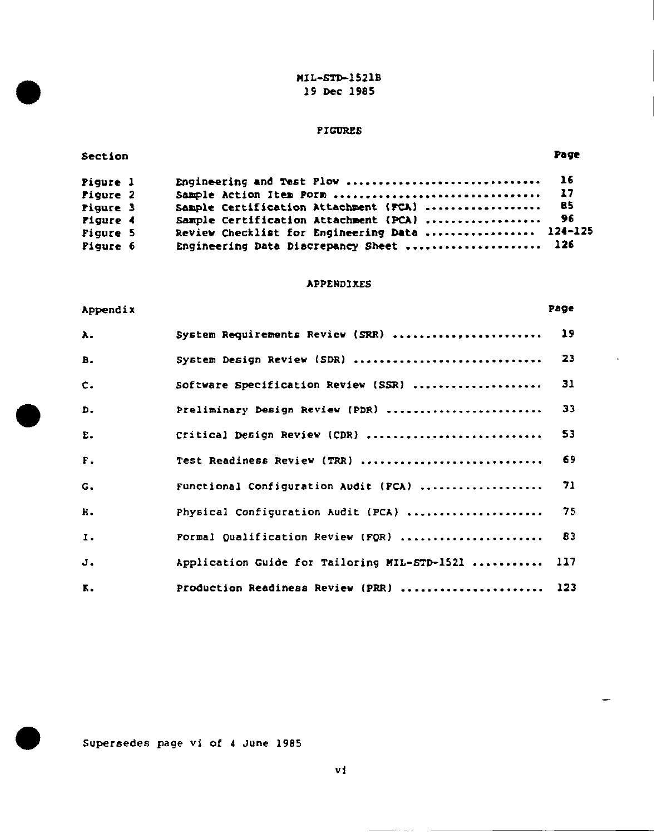MIL-STD-1521B 19 Dec 1985

# PIGURES

### Sect ion Page

÷

| Piqure l | Engineering and Test Plow  16                  |      |  |
|----------|------------------------------------------------|------|--|
| Figure 2 |                                                |      |  |
| Piqure 3 | Sample Certification Attachment (FCA)          | - 85 |  |
| Pigure 4 | Sample Certification Attachment (PCA)          | - 96 |  |
| Figure 5 | Review Checklist for Engineering Data  124-125 |      |  |
| Pigure 6 | Engineering Data Discrepancy Sheet  126        |      |  |

## **APPENDIXES**

| Appendix    |                                              | Page      |
|-------------|----------------------------------------------|-----------|
| λ.          | System Requirements Review (SRR)             | 19        |
| в.          | System Design Review (SDR)                   | 23        |
| $c_{\cdot}$ | Software Specification Review (SSR)          | 31        |
| D.          | Preliminary Design Review (PDR)              | 33        |
| Ε.          | Critical Design Review (CDR)                 | 53        |
| F.          | Test Readiness Review (TRR)                  | 69        |
| G.          | Functional Configuration Audit (PCA)         | 71        |
| н.          | Physical Configuration Audit (PCA)           | 75        |
| Ι.          | Pormal Qualification Review (FQR)            | <b>B3</b> |
| J.          | Application Guide for Tailoring MIL-STD-1521 | 117       |
| к.          | Production Readiness Review (PRR)            | 123       |

Supersedes page vi of 4 June 1985

vi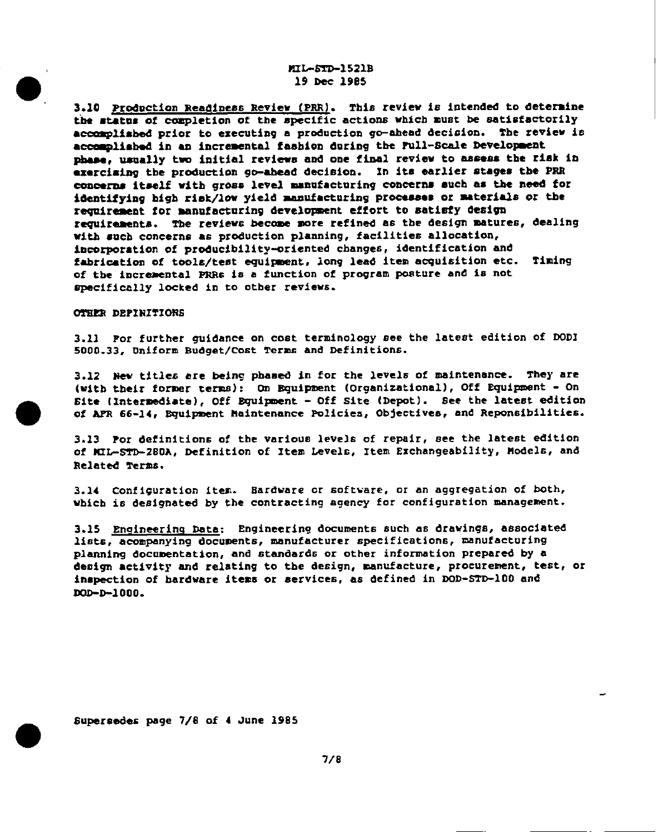## MIL-STD-1521B 19 Dec 1985

3.10 Production Readiness Review (PRR). This review is intended to determine the status of completion of the specific actions which must be satisfactorily accomplished prior to executing a production go-ahead decision. The review is accomplished in an incremental fashion during the Full-Scale Development phase, usually two initial reviews and one final review to assess the risk in exercising the production go-ahead decision. In its earlier stages the PRR concerns itself with gross level manufacturing concerns such as the need for identifying high risk/low yield manufacturing processes or materials or the requirement for manufacturing development effort to satisfy design requirements. The reviews become more refined as the design matures, dealing with such concerns as production planning, facilities allocation, incorporation of producibility-oriented changes, identification and fabrication of tools/test equipment, long lead item acquisition etc. Timing of the incremental PRRs is a function of program posture and is not specifically locked in to other reviews.

#### OTHER DEPINITIONS

3.11 Por further quidance on cost terminology see the latest edition of DODI 5000.33, Uniform Budget/Cost Terms and Definitions.

3.12 New titles are being phased in for the levels of maintenance. They are (with their former terms): On Bquipment (Organizational), Off Equipment - On Site (Intermediate), Off Bquipment - Off Site (Depot). See the latest edition of AFR 66-14, Bquipment Maintenance Policies, Objectives, and Reponsibilities.

3.13 Por definitions of the various levels of repair, see the latest edition of MIL-STD-280A, Definition of Item Levels, Item Exchangeability, Models, and Related Terms.

3.14 Configuration item. Bardware or software, or an aggregation of both, which is designated by the contracting agency for configuration management.

3.15 Engineering Data: Engineering documents such as drawings, associated lists, acompanying documents, manufacturer specifications, manufacturing planning documentation, and standards or other information prepared by a design activity and relating to the design, manufacture, procurement, test, or inspection of bardware items or services, as defined in DOD-STD-100 and DOD-D-1000.

Supersedes page 7/8 of 4 June 1985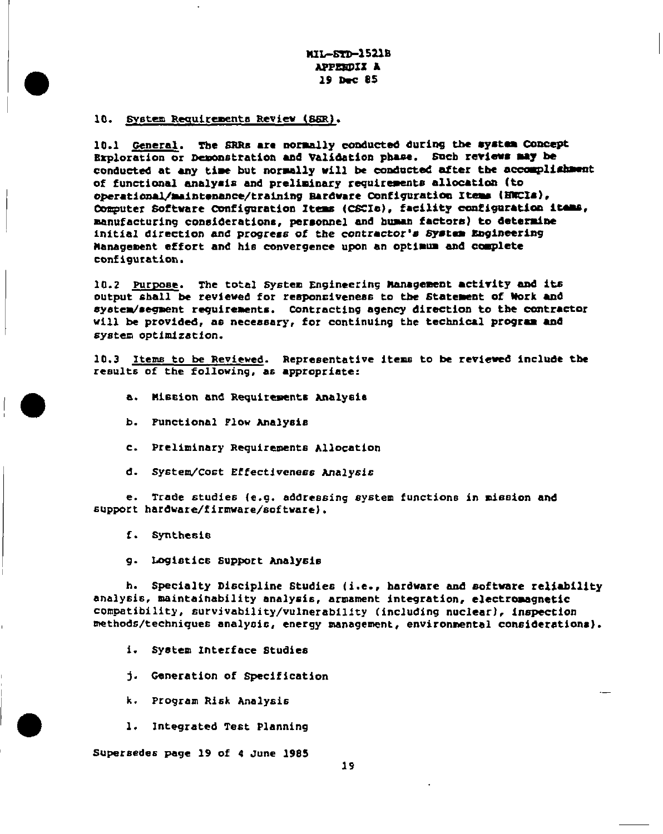MIL-STD-1521B APPERDIX A 19 Dec 85

### 10. System Requirements Review (SSR).

10.1 General. The SRRs are normally conducted during the system Concept Exploration or Demonstration and Validation phase. Such reviews may be conducted at any time but normally will be conducted after the accomplishment of functional analysis and preliminary requirements allocation (to operational/maintenance/training Bardware Configuration Items (HWCIs), Computer Software Configuration Items (CSCIa), facility configuration items, manufacturing considerations, personnel and human factors) to determine initial direction and progress of the contractor's System Engineering Management effort and his convergence upon an optimum and complete configuration.

10.2 Purpose. The total System Engineering Management activity and its output shall be reviewed for responsiveness to the Statement of Work and system/segment requirements. Contracting agency direction to the contractor will be provided, as necessary, for continuing the technical program and system optimization.

10.3 Items to be Reviewed. Representative items to be reviewed include the results of the following, as appropriate:

- a. Mission and Requirements Analysis
- b. Punctional Flow Analysis
- c. Preliminary Requirements Allocation
- d. System/Cost Effectiveness Analysis

e. Trade studies (e.g. addressing system functions in mission and support hardware/firmware/software).

f. Synthesis

g. Logistics Support Analysis

h. Specialty Discipline Studies (i.e., hardware and software reliability analysis, maintainability analysis, armament integration, electromagnetic compatibility, survivability/vulnerability (including nuclear), inspection methods/techniques analysis, energy management, environmental considerations).

- i. System Interface Studies
- j. Generation of Specification
- k. Program Risk Analysis
- 1. Integrated Test Planning

Supersedes page 19 of 4 June 1985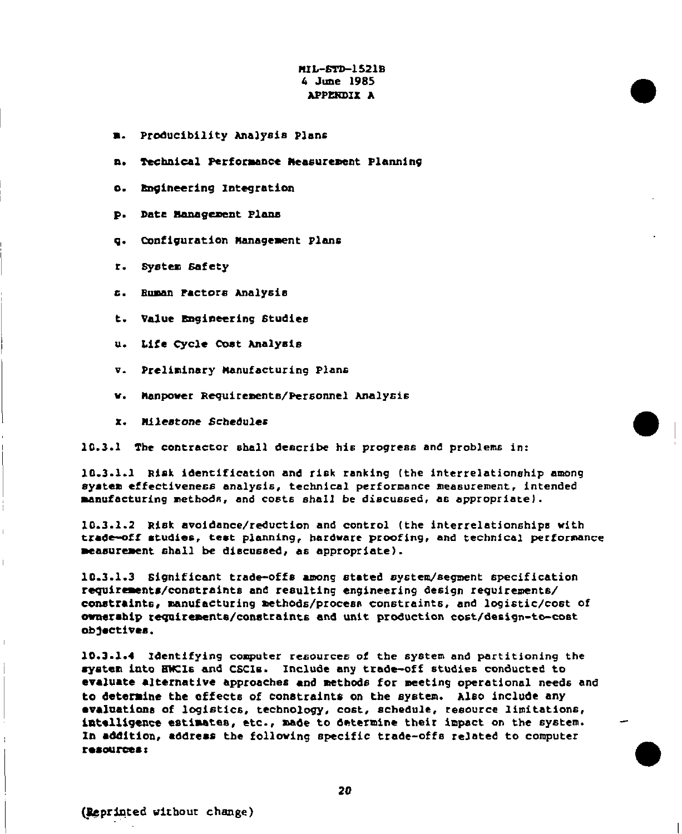# $MT-STD-1521B$ 4 June 1985 APPENDIX A

- **B.** Producibility Analysis Plans
- n. Technical Performance Measurement Planning
- o. Engineering Integration
- D. Data Management Plans
- g. Configuration Management Plans
- r. System Safety
- s. Ruman Pactors Analysis
- t. Value Engineering Studies
- u. Life Cycle Cost Analysis
- v. Preliminary Manufacturing Plans
- w. Manpower Requirements/Personnel Analysis
- x. Milestone Schedules

10.3.1 The contractor shall deacribe his progress and problems in:

10.3.1.1 Risk identification and risk ranking (the interrelationship among system effectiveness analysis, technical performance measurement, intended manufacturing methods, and costs shall be discussed, as appropriate).

10.3.1.2 Risk avoidance/reduction and control (the interrelationships with trade-off studies, test planning, hardware proofing, and technical performance measurement shall be discussed, as appropriate).

10.3.1.3 Significant trade-offs among stated system/segment specification requirements/constraints and resulting engineering design requirements/ constraints, manufacturing methods/process constraints, and logistic/cost of ownership requirements/constraints and unit production cost/design-to-cost objectives.

10.3.1.4 Identifying computer resources of the system and partitioning the system into HWCIs and CSCIs. Include any trade-off studies conducted to evaluate alternative approaches and methods for meeting operational needs and to determine the effects of constraints on the system. Also include any evaluations of logistics, technology, cost, schedule, resource limitations, intelligence estimates, etc., made to determine their impact on the system. In addition, address the following specific trade-offs related to computer resources: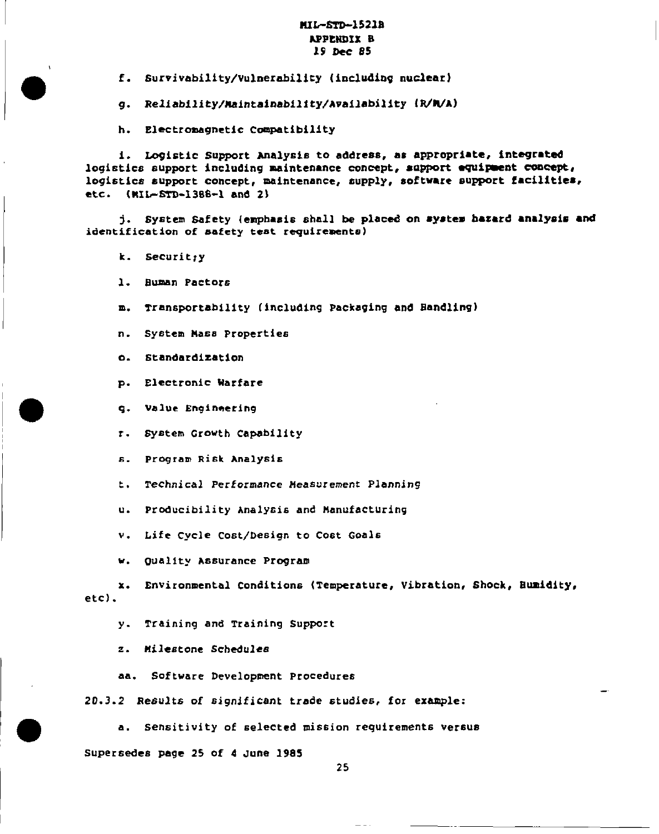## MIL-STD-1521B APPENDIX B 19 Dec 85

f. Survivability/Vulnerability (including nuclear)

g. Reliability/Maintainability/Availability (R/M/A)

h. Electromagnetic Compatibility

i. Logistic Support Analysis to address, as appropriate, integrated logistics support including maintenance concept, support equipment concept, logistics support concept, maintenance, supply, software support facilities,  $(MIL-STD-1386-1 and 2)$ etc.

j. System Safety (emphasis shall be placed on system hazard analysis and identification of safety test requirements)

- k. Securitry
- 1. Buman Pactors
- m. Transportability (including Packaging and Bandling)
- n. System Mass Properties
- o. Standardization
- p. Electronic Warfare
- g. Value Engineering
- r. System Growth Capability

s. Program Risk Analysis

t. Technical Performance Measurement Planning

u. Producibility Analysis and Manufacturing

v. Life Cycle Cost/Design to Cost Goals

w. Quality Assurance Program

x. Environmental Conditions (Temperature, Vibration, Shock, Bumidity,  $etc.$ 

y. Training and Training Support

z. Milestone Schedules

aa. Software Development Procedures

20.3.2 Results of significant trade studies, for example:

a. Sensitivity of selected mission requirements versus

Supersedes page 25 of 4 June 1985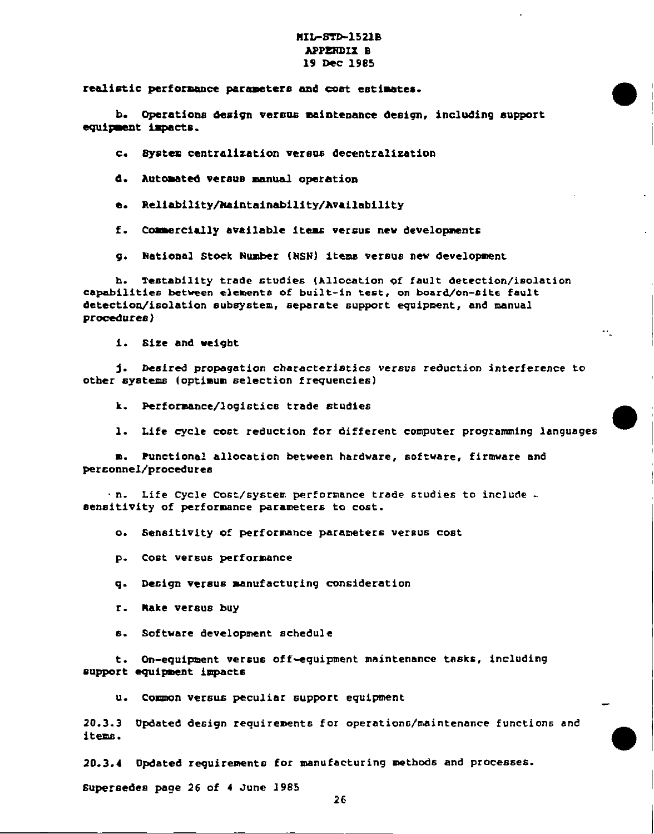### **HIL-STD-1521B** APPENDIx B 19 DeC 1985

rea2imtic **perf ormnce** pxraaetem and cost eat **imtes.**

b. Operations design versus maintenance design, including support equipment impacts.

c. Bystem centralization versus decentralization

d. Automated versus manual operation

e. Reliability/Maintainability/Availability

f. Conercielly available ltema versus new developments

9. National stock *Number (NsN)* items versus new developsmnt

h. Testability trade studies (Allocation of fault detection/isolation capabilities between elements of built-in test, on board/on-site fault detection/isolation subsystem, 6epsrate support equipment, and manual procedures)

i. Size and weight

j. Desired propagation characteristics versus reduction interference to other aysteme (optimum selection frequencies)

k. Performance/logictice trade studies

1. Life cycle cost reduction for different computer programming languages

.

●

m. Punctional allocation between hardware, software, firmware and personnel/procedures

n. Life Cycle cost/system performance trade studies to include sensitivity of performance parameters to cost.

**0.** Sensitivity **of** performance parameters versus cost

I P. D. P. Cost versus performance

q. Decign versus manufacturing consideration

r. Rake versus buy

s. Software development schedule

t. Dn-equipment versus of f-equipmant maintenance tesks, including support equipment impacts

u. Common versus peculiar support equipment

20.3.3 Updated design requi raments for operation c/maintenance functions and items.

20.3.4 Dpdated requirements for manufacturing mstbods and processes.

Supersedes page 26 of 4 June 1985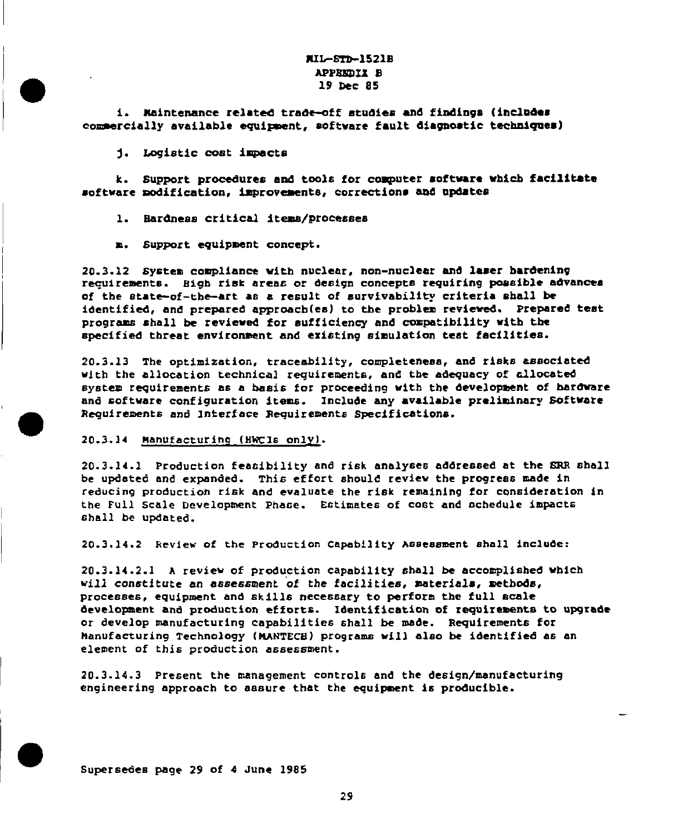# MIL-8TD-1521B **APPENDIX B** 19 Dec 85

i. Naintenance related trade-off studies and findings (includes commercially available equipment, software fault diagnostic techniques)

j. Logistic cost impacts

k. Support procedures and tools for computer software which facilitate software modification, improvements, corrections and updates

- 1. Bardness critical items/processes
- n. Support equipment concept.

20.3.12 System compliance with nuclear, non-nuclear and laser hardening requirements. Bigh risk areas or design concepts requiring possible advances of the state-of-the-art as a result of survivability criteria shall be identified, and prepared approach(es) to the problem reviewed. Prepared test programs shall be reviewed for sufficiency and compatibility with the specified threat environment and existing simulation test facilities.

20.3.13 The optimization, traceability, completeness, and risks associated with the allocation technical requirements, and the adequacy of allocated system requirements as a basis for proceeding with the development of hardware and software configuration items. Include any available preliminary Software Requirements and Interface Requirements Specifications.

### 20.3.14 Manufacturing (HWCIs only).

20.3.14.1 Production feasibility and risk analyses addressed at the SRR shall be updated and expanded. This effort should review the progress made in reducing production risk and evaluate the risk remaining for consideration in the Full Scale Development Phase. Estimates of cost and schedule impacts shall be updated.

20.3.14.2 Review of the Production Capability Assessment shall include:

20.3.14.2.1 A review of production capability shall be accomplished which will constitute an assessment of the facilities, materials, methods, processes, equipment and skills necessary to perform the full scale development and production efforts. Identification of requirements to upgrade or develop manufacturing capabilities shall be made. Requirements for Manufacturing Technology (MANTECH) programs will also be identified as an element of this production assessment.

20.3.14.3 Present the management controls and the design/manufacturing engineering approach to aasure that the equipment is producible.

Supersedes page 29 of 4 June 1985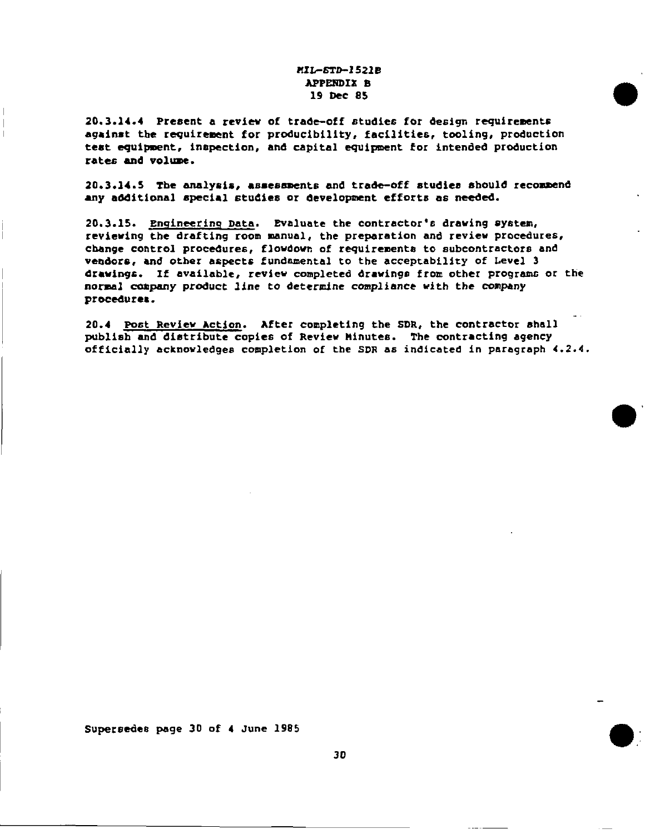# *?UL-.5TD-1521B* APPSROIX B 19 Dec 85

20.3.14.4 Present a review of trade-off studies for design requirements against the requirement for producibility, facilities, tooling, production test equipment, inspection, and capital equipment for intended production **rates** and volume.

20.3.14.5 The analysis, assessments and trade-off studies should recommend any additional special studies or development ●**ffort6 as** needed.

20.3.15. Engineering Data. Evaluate the contractor's drawing system, reviewing the drafting room manual, the preparation and review procedures, change control procedures, flowdown of requirements to subcontractors and veadors, end other aapects fundamental **to** the acceptability **of** Level 3 drawings. If available, review completed drawings from other programs or the normal company product line to determine compliance with the company procedures.

20.4 Post Review Action. After completing the SDR, the contractor shall publiab end distribute copies of Review Minutes. The contracting agency officially acknowledges completion of the SDR as indicated in paragraph 4.2.4.

Supersedes page 30 of 4 June 1985

●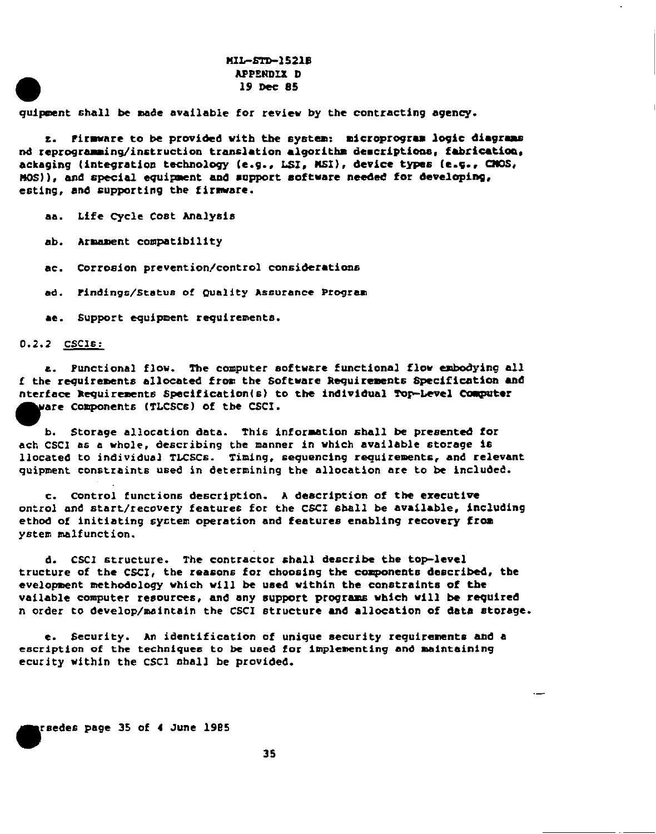## MIL-STD-1521B APPENDIX D 19 Dec 85

quipment shall be made available for review by the contracting agency.

z. Pirmware to be provided with the system: microprogram logic diagrams nd reprogramming/instruction translation algorithm descriptions, fabrication, ackaging (integration technology (e.g., LSI, MSI), device types (e.g., CMOS, MOS)), and special equipment and support software needed for developing, esting, and supporting the firmware.

aa. Life Cycle Cost Analysis

ab. Armament compatibility

ac. Corrosion prevention/control considerations

ad. Findings/Status of Quality Assurance Program

ae. Support equipment requirements.

#### $0.2.2$  CSCIs:

a. Punctional flow. The computer software functional flow embodying all f the requirements allocated from the Software Requirements Specification and nterface Requirements Specification(s) to the individual Top-Level Computer ware Components (TLCSCs) of the CSCI.

b. Storage allocation data. This information shall be presented for ach CSCI as a whole, describing the manner in which available storage is llocated to individual TLCSCs. Timing, sequencing requirements, and relevant quipment constraints used in determining the allocation are to be included.

c. Control functions description. A description of the executive ontrol and start/recovery features for the CSCI shall be available, including ethod of initiating system operation and features enabling recovery from ystem malfunction.

d. CSCI structure. The contractor shall describe the top-level tructure of the CSCI, the reasons for choosing the components described, the evelopment methodology which will be used within the constraints of the vailable computer resources, and any support programs which will be required n order to develop/maintain the CSCI structure and allocation of data storage.

e. Security. An identification of unique security requirements and a escription of the techniques to be used for implementing and maintaining ecurity within the CSCI shall be provided.

**graedes page 35 of 4 June 1985**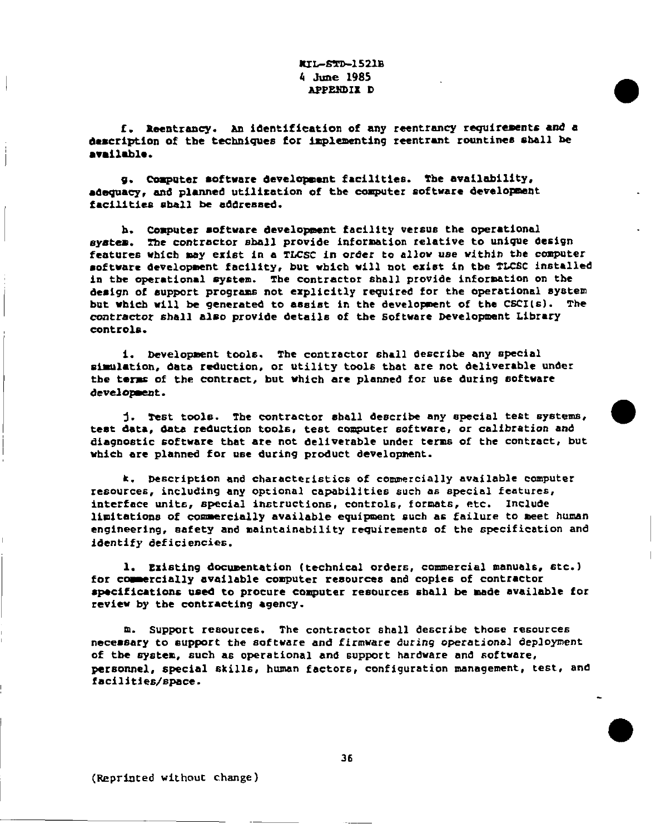## KIL-STD-1521B 4 June 1985 APPPXDIX D

f . M!elrtraocy. & identification of any *reentrance require=nts and* d description of the techniques for implementing reentrant rountine& shall be ●wmilablo.

9. Computer software development facilities. The availability, adequacy, and planned utilization of the computer software development facilities shall be addressed.

h. Computer *software* development facility versus the operational system. The contractor shall provide information relative to unique design features which may exist in a TLCSC in order to allow use within the computer ●oftwarc development facility, but which will not *exist Xn* **tbe TLCSC** installed in tbe operational system. Tbe contractor shall provide information on the design of support programs not explicitly required for the operational system but which will be generated to assist in the development of the  $CSCI(s)$ . The contractor shall also provide details of the Software Development Library controls.

1. Development tools. The contractor shall describe any special simulation, data reduction, or utility tools that are not deliverable under the terms of the contract, but which are planned for use during software development.

test data, data reduction tools, test computer software, or calibration and j. *Test* tools. The contractor aball describe any special test systems, diagnostic software that are not deliverable under terms of the contract, but whieb are planned for use during product development.

●

k. Oascription and characteristics of commercially available cemputer resources, including any optional capabilities such as special features, interface units, special instructions, controls, formets, etc. Include limitations of commercially available equipment such as failure to meet human engineering, safety and maintainability requirements of the specification and identify deficiencies.

1. Existing documentation (technical orders, commercial manuals, ate. ) for commercially available computer resources and copies of contractor specifications used to procure computer resources shall be made available for review by the contracting agency.

m. *Support* resources. The contractor shall describe those resources necemsary to support the software and firmware during operational deployment **of** tbe ayatem, such as operational and support hardware and software, personnel, special skills, human factor6, configuration management, test, and facilities/8pace.

(Reprinted without change)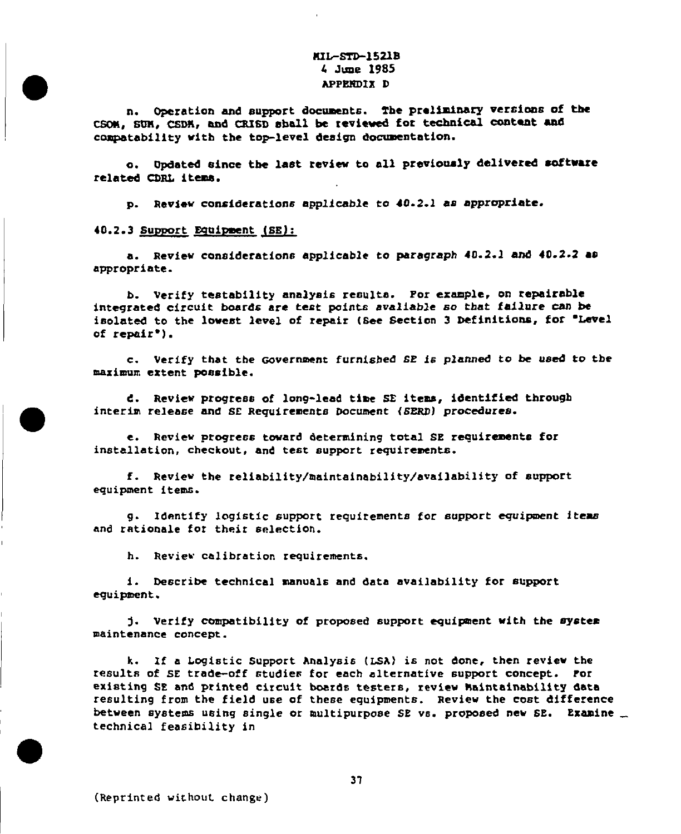## KIL-STD-1521B 4 June 1985 APPENDIX D

n. Operation and support documents. The preliminary versions of the CSOM, SUN, CSDH, and CRISD shall be reviewed for technical content and compatability with the top-level design documentation.

Updated since the last review to all previously delivered software  $\bullet$ . related CDRL items.

p. Review considerations applicable to 40.2.1 as appropriate.

### 40.2.3 Support Equipment (SE):

a. Review considerations applicable to paragraph 40.2.1 and 40.2.2 as appropriate.

b. Verify testability analysis results. For example, on repairable integrated circuit boards are test points avaliable so that failure can be isolated to the lowest level of repair (See Section 3 Definitions, for "Level of repair<sup>\*</sup>).

c. Verify that the Government furnished SE is planned to be used to the maximum extent possible.

d. Review progress of long-lead time SE items, identified through interim release and SE Requirements Document (SERD) procedures.

e. Review progress toward determining total SE requirements for installation, checkout, and test support requirements.

f. Review the reliability/maintainability/availability of support equipment items.

g. Identify logistic support requirements for support equipment items and rationale for their selection.

h. Review calibration requirements.

i. Describe technical manuals and data availability for support equipment.

j. Verify compatibility of proposed support equipment with the system maintenance concept.

k. If a Logistic Support Analysis (LSA) is not done, then review the results of SE trade-off studies for each alternative support concept. For existing SE and printed circuit boards testers, review Maintainability data resulting from the field use of these equipments. Review the cost difference between systems using single or multipurpose SE vs. proposed new SE. Examine technical feasibility in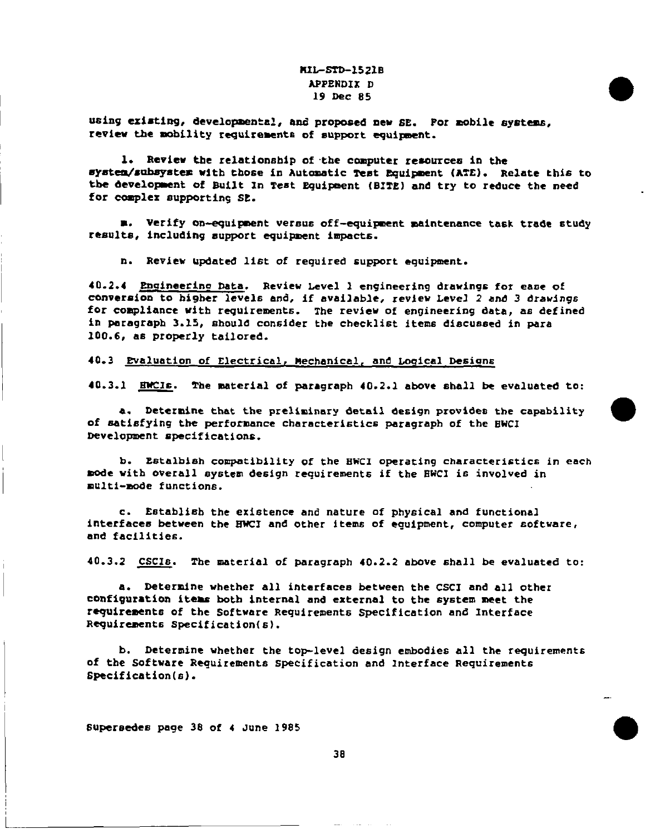# **RIL-STD-1521B** APPENDIx D 19 Dac 85

using existing, developmental, and proposed new SE. For mobile systems, review the mbility requirements of support equipment.

1. Review the relationship of the computer resources in the mystem/subsystem with those in Automatic Test Equipment (ATE). Relate this to the development of Built In Test Equipment (BITE) and try to reduce the need for complex supporting SE.

m. Verify on-equipment versus off-equipment maintenance task trade study results, including support equipment impacts.

n. Review updated list of required support equipment.

40.2.4 Ensineerino Data. Review Level 1 engineering drawings for cane of conversion to higher levels and, if available, review Level 2 and 3 drawings for compliance with requirements. *The review* of engineering data, ae defined in paragraph 3.15, should consider the checklist items diacuased in para 100.6, as properly tailored.

### 40.3 Evaluation of Electrical, Mechanical, and Logical Designs

40.3.1 EWCIs. The material of paragraph 40.2.1 above shall be evaluated to:

of satisfying the performance characteristics paragraph of the HWCI a. Determine that the preliminary detail design provides the capability Development specifications.

b. Estalbiah compatibility of the EWCI operating characteristics in each mode with overall system design requirements if the EWCI is involved in multi-node functions.

c. Establi6b the *existence* and nature of physical and functional interfaces between the HWCI and other items of equipment, computer software, and facilities.

40.3.2 CSCIs. The material of paragraph 40.2.2 above shall be evaluated to:

a. Determine whether all interface between the CSCI and all other configuration items both internal and external to the system meet the requirements of the Software Requirements Specification and Interface Requirements Specification(s).

b. Determine whether the top-level design embodies all the requirements of tbe Software Requirements Specification and Interface Requirements Specification(s).

-.

 $\bullet$ 

Supersedes page 38 of 4 JUne 1985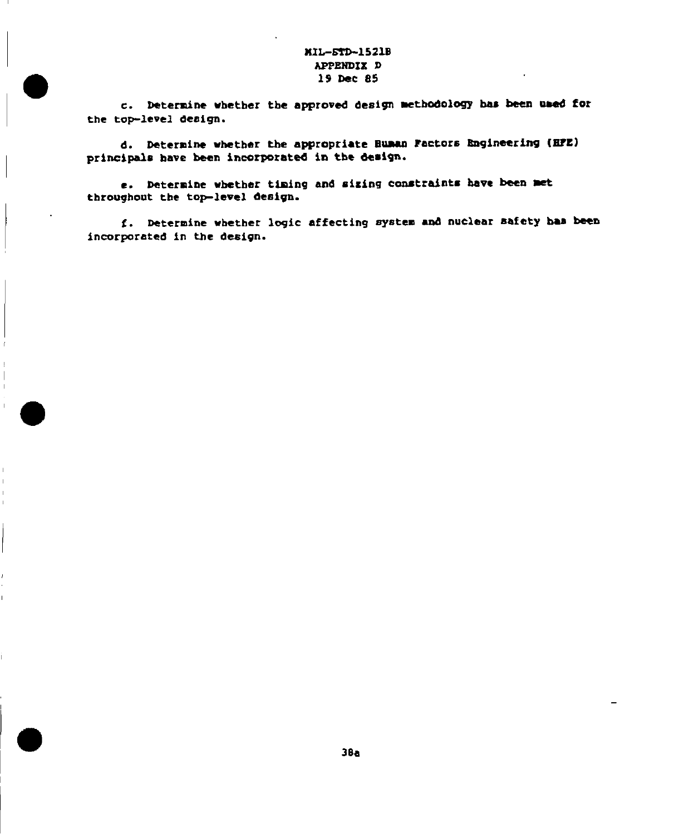# MIL-5TD-1521B APPENDIX D 19 Dec 85

c. Determine whether the approved design methodology has been used for the top-level design.

d. Determine whether the appropriate Buman Factors Engineering (HFE) principals have been incorporated in the design.

e. Determine whether timing and sizing constraints have been met throughout the top-level design.

f. Determine whether logic affecting system and nuclear safety has been incorporated in the design.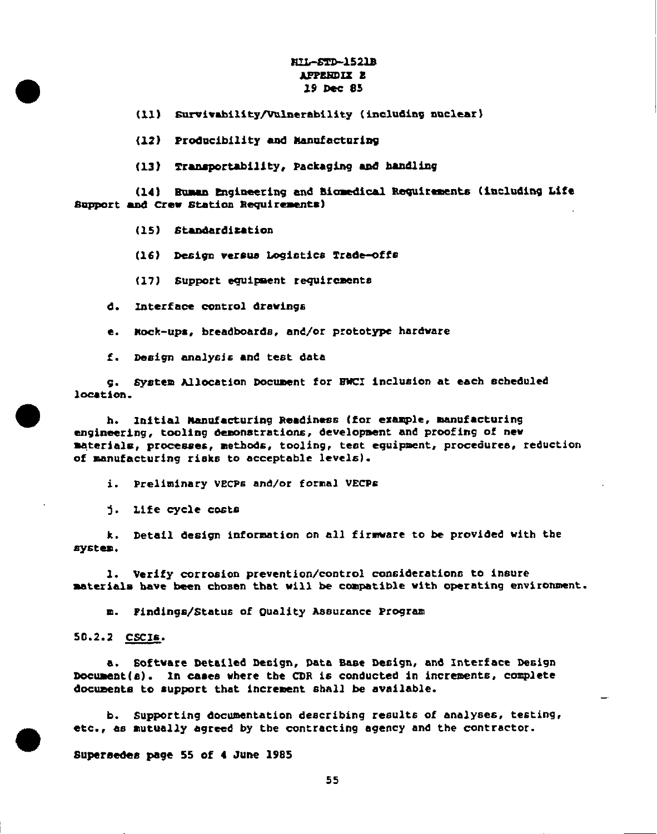## ~1521s T APPENDIX E 19 Dec 85

(11) Survivability/Vulnerability (including nuclear)

(12) Producibility and Manufacturing

(13) Traaaportability, Packaging and bemdliog

(14) \* Euman Engineering and Biomedical Requirements (including Life Support and crew Station Ragui**raments )**

(15) Standardization

(16) Design versus Logistics Trade-offs

(17) support eguisent requirements

d. 2nterface control drawing6

e. mock-ups, breadharda, and/or prototype hardware

f. Design analysis and test data

9. system Allocation Document for BWCI inclusion at ●ach scheduled location.

h. U6itial Manufacturing Readiness (for example, manufacturing engineering, tooling demonstrations, development and proofing of new materials, processes, methods, tooling, test equipment, procedures, reduction of manufacturing riaka to acceptable levels).

i. Preliminary VECPs and/or formal VECPs

~. Life cycle costs

k. Detail design information on all firmware to be provided with the system.

1. Verify corrosion prevention/control considerations to insure materials have been chosen that will be compatible with operating environment.

m. Findings/Status of Quality Aaaurance Program

50.2.2 <u>CSCIE</u>.

●

●

a. Software Detailed Design, Data Base Design, and Interface Design Document( $a$ ). In cases where the CDR is conducted in increments, complete documents to support that increment shall be available.

b. Supporting documentation describing results of analyses, testing, etc., as mutually agreed by the contracting agency and the contractor.

Superaades page 55 **of** 4 June 1985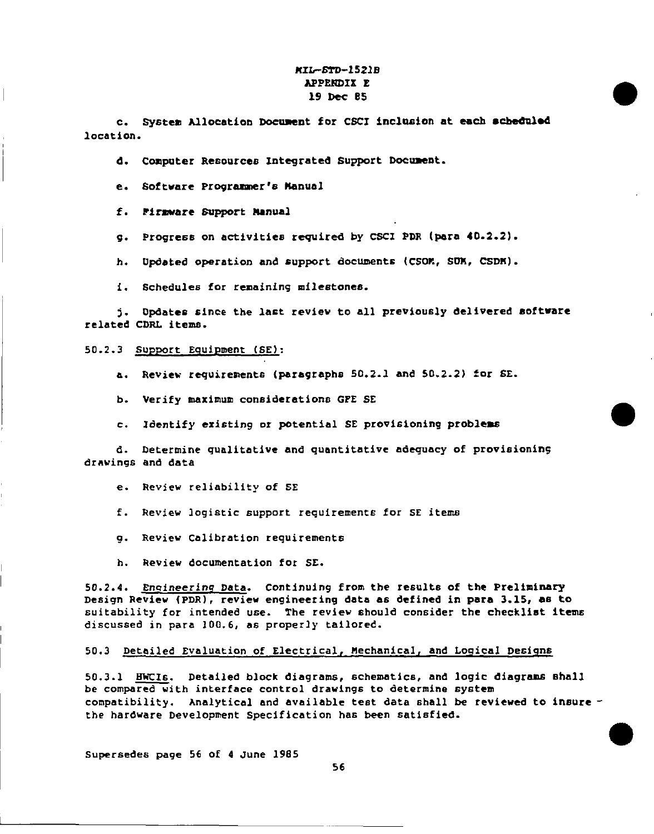# **KIL-STD-1521B** APPENDIX E 19 Dec 85

c. System Allocation Document for CSCI inclusion at each scheduled location.

d. Computer Resources Integrated Support Document.

e. Software Programmer's Manual

f. Firmware Support Manual

g. Progress on activities required by CSCI PDR (para 40.2.2).

h. Updated operation and support documents (CSOM, SUM, CSDM).

i. Schedules for remaining milestones.

j. Opdates since the last review to all previously delivered software related CDRL items.

50.2.3 Support Equipment (SE):

a. Review requirements (paragraphs 50.2.1 and 50.2.2) for SE.

b. Verify maximum considerations GPE SE

c. Identify existing or potential SE provisioning problems

d. Determine qualitative and quantitative adequacy of provisioning drawings and data

e. Review reliability of SE

f. Review logistic support requirements for SE items

g. Review Calibration requirements

h. Review documentation for SE.

50.2.4. Engineering Data. Continuing from the results of the Preliminary Design Review (PDR), review engineering data as defined in para 3.15, as to suitability for intended use. The review should consider the checklist items discussed in para 100.6, as properly tailored.

50.3 Detailed Evaluation of Electrical, Mechanical, and Logical Designs

50.3.1 HWCIs. Detailed block diagrams, schematics, and logic diagrams shall be compared with interface control drawings to determine system compatibility. Analytical and available test data shall be reviewed to insure the hardware Development Specification has been satisfied.

Supersedes page 56 of 4 June 1985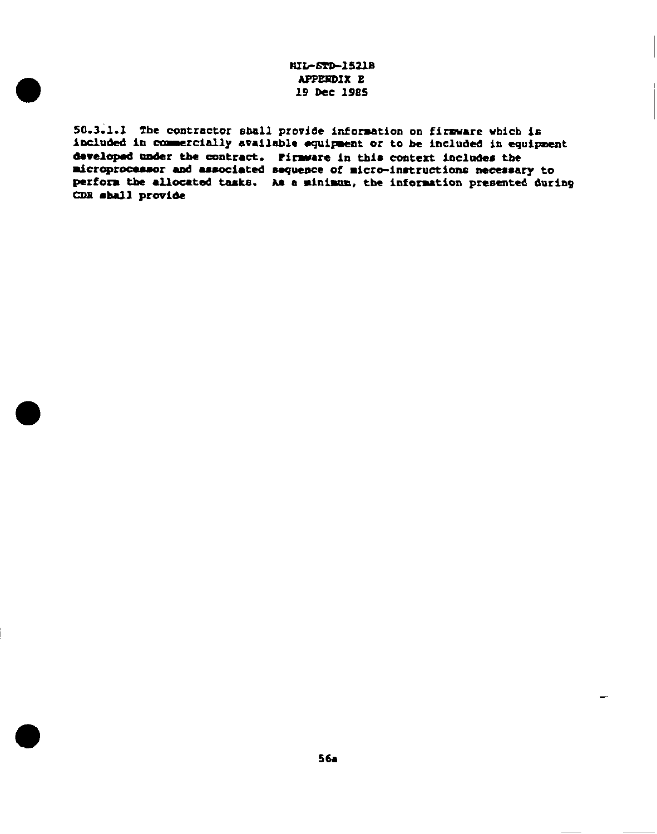# HIL-STD-1521B **APPERDIX E** 19 Dec 1985

50.3.1.1 The contractor shall provide information on firmware which is included in commercially available equipment or to be included in equipment developed under the contract. Firmware in this context includes the microprocessor and associated sequence of micro-instructions necessary to perform the allocated tasks. As a minimum, the information presented during CDR shall provide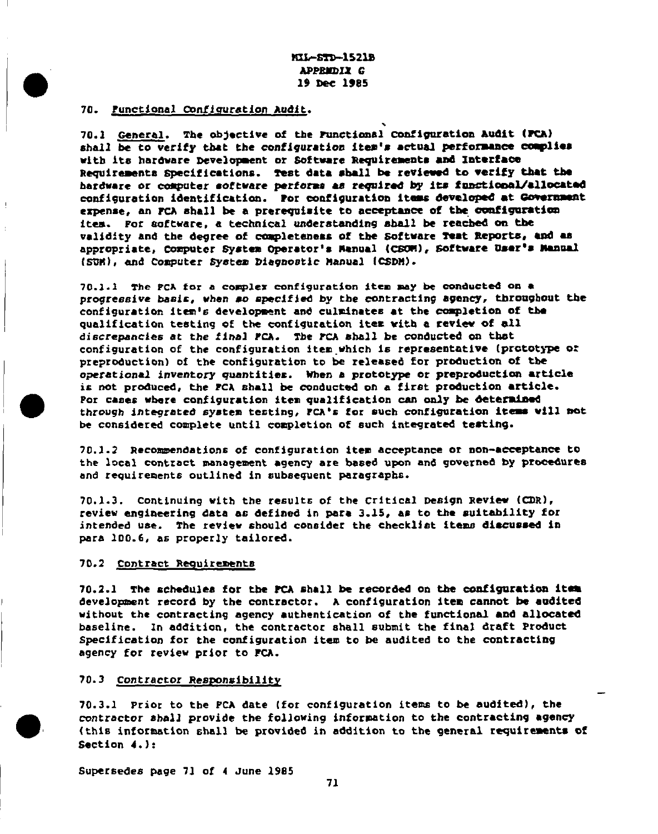**MIL-STD-1521B** APPREDIX G 19 Dec 1985

#### 70. Punctional Configuration Audit.

70.1 General. The objective of the Functional Configuration Audit (FCA) shall be to verify that the configuration item's actual performance complies with its hardware Development or Software Requirements and Interface Requirements Specifications. Test data shall be reviewed to verify that the hardware or computer software performs as required by its functional/allocated configuration identification. Por configuration items developed at Government expense, an FCA shall be a prerequisite to acceptance of the configuration item. For acftware, a technical understanding shall be reached on the validity and the degree of completeness of the Software Test Reports, and as appropriate, Computer System Operator's Manual (CSOM), Software User's Manual (SUM), and Computer System Diagnostic Manual (CSDM).

70.1.1 The PCA for a complex configuration item may be conducted on a progressive basis, when so specified by the contracting agency, throughout the configuration item's development and culminates at the completion of the qualification testing of the configuration item with a review of all discrepancies at the final FCA. The FCA shall be conducted on that configuration of the configuration item which is representative (prototype or preproduction) of the configuration to be released for production of the operational inventory quantities. When a prototype or preproduction article is not produced, the FCA shall be conducted on a first production article. Por cases where configuration item qualification can only be determined through integrated system testing, FCA's for such configuration items will not be considered complete until completion of such integrated testing.

70.1.2 Recommendations of configuration item acceptance or non-acceptance to the local contract management agency are based upon and governed by procedures and requirements outlined in subsequent paragraphs.

70.1.3. Continuing with the results of the Critical Design Review (CDR), review engineering data as defined in para 3.15, as to the suitability for intended use. The review should consider the checklist items discussed in para 100.6, as properly tailored.

### 70.2 Contract Requirements

70.2.1 The schedules for the PCA shall be recorded on the configuration item development record by the contractor. A configuration item cannot be audited without the contracting agency authentication of the functional and allocated baseline. In addition, the contractor shall submit the final draft Product Specification for the configuration item to be audited to the contracting agency for review prior to PCA.

### 70.3 Contractor Responsibility

70.3.1 Prior to the PCA date (for configuration items to be audited), the contractor shall provide the following information to the contracting agency (this information shall be provided in addition to the general requirements of Section  $4.$ ):

Supersedes page 71 of 4 June 1985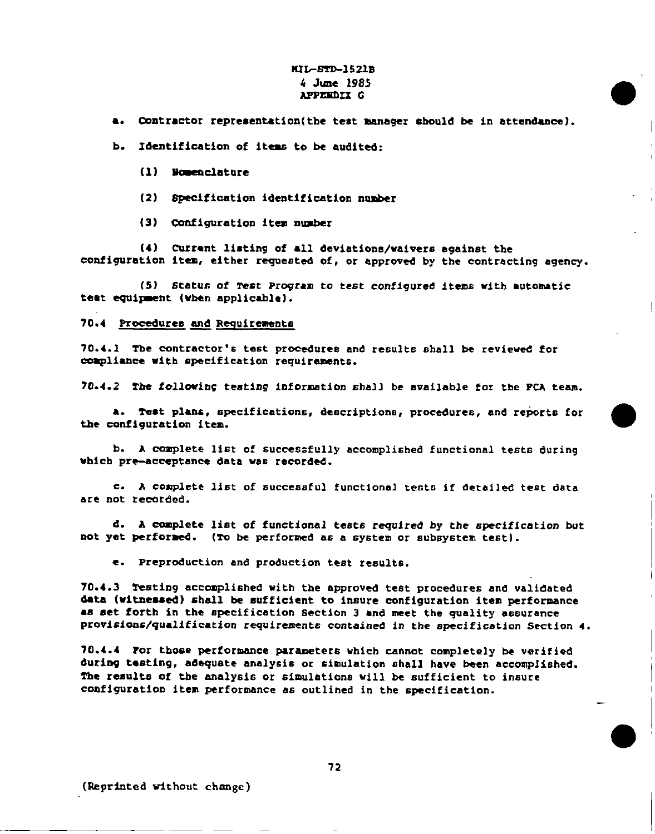# *FUG-1521B .4* June 1985 APPENDIX G

a. Contractor representation(the test manager should be in attendance).

●

●

b. Identification of items to be audited:

- (1) Nomenclature
- (2) Specification identification ngrber
- (3) Configuration item number

(4) Current listing of all deviations/waivers againat the configuration item, either requested of, or approved by the contracting agency.

(5) Status of Test Program to test configured items with automatic teat equipment (when applicable).

#### 70.4 Procedures and Requirements

70.4.1 The contractor's test procedures and results shall be reviewed for compliance with specification requirements.

70.4.2 The following testing information shall be available for the PCA team.

a. Test plans, specifications, descriptions, procedures, and reports for a. Test plans, specifications, descriptions, procedures, and reports for  $\bullet$ 

b. A complete list of successfully accomplished functional tests during which pre-acceptance data was recorded.

c. A complete list of successful functional tests if detailed test data are not recorded.

d. A Cemplete Iiat of functional **teeta** required by the specification but not yet performed. (To be performed as a system or subsystem test).

e. Preproduction and production test results.

70.4.3 Testing accomplished with the approved test procedures and validated dete (Witoessed) shall be sufficient to insure configuration item performance as set forth in the specification Section 3 and meet the quality assurance provisions/qualification requirements contained in the specification Section 4.

70.4.4 POK those perforsance parameters which cannot completely be verified during testing, adequate analysis or simulation shall have been accomplished. Tbe results of tbe analysis or simulations will be sufficient to insure configuration item performance as outlined in the spectficatlon.

(Reprinted without change)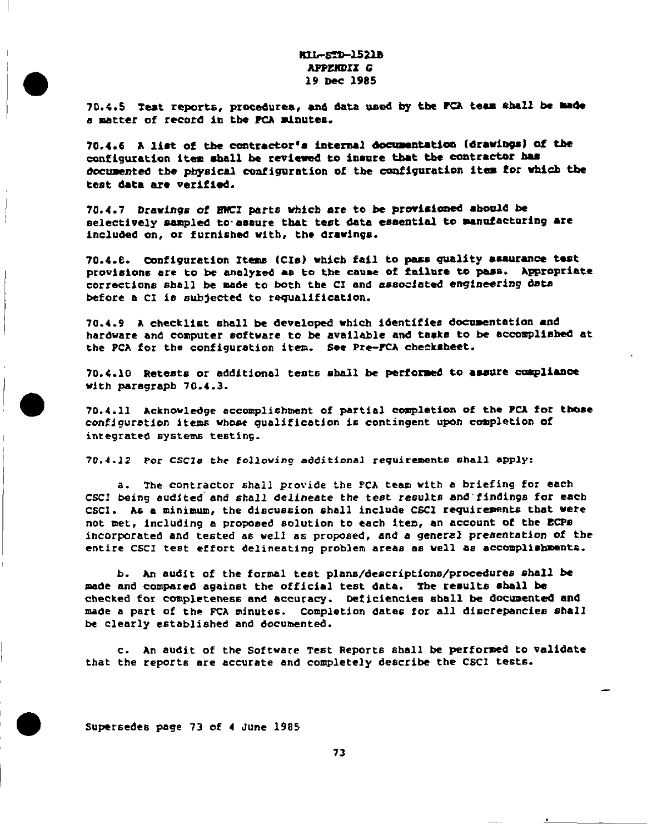# KIL-Szl+1521s **APPENDIX G** 19 Per 1985

70.4.5 Teat reports, precadurea, and data used hq tbe PCA taaa ehall be made a matter of record im tba PCA minutes.

70.4.6 A list of tbe contractor 18 **imtermal docuaankatioe (draw@a) of tba** configuration item aball be reviewed *to* insure that kbe contractor baa documented the physical configuration of the configuration item for which the test data are verifiod.

70.4.7 Drawings of *EHCI* parts which are to be provisioned abould be selectively sampled to assure that test data essential to manufacturing are included on, or furnished with, the drawings.

70.4.8. Configuration Items (CIe) which fail to pass quality assurance test provisions are to be analyzed as to the cause of failure to pass. Appropriate corrections shall be made to both the CI and associated engineering data before a CI is subjected to requalification.

70.4.9 A checklist shall be developed which identifies documentation and hardware and computer software to be available and tasks to be accomplished at the PCA for the configuration item. See Pre-FCA checksheet.

70.4.10 Retests or additional tests shall be performed to assure compliance with psragrapb 70.4.3.

70.4.11 Acknowledge accomplishment of partial completion of the PCA for those configuration items whose qualification is contingent upon completion of integrated systems testing.

70.4.12 *Por CSC1s* the following additional requirements shall apply:

a. The contractor shall provide the PCA team with a briefing for each CSCI being audited and shall delineate the test results and findings for each CSCI. As a minimum, the discussion shall include CSCI requirements that were not met, including a propneed aolut ion to each item, an account *of* the ECPa incorporated and tested as well as proposed, and a general presentation of the entire CSCI test effort delineating problem areas as well as accomplishments.

b. An audit of the formal test plans/descriptions/procedures shall be made and *compared* against the official test data. **The** reaulta shall be checked for completeness and accuracy. Oaficiencies shall be documented and made a part of the FCA minutes. Completion dates for all discrepancies shall be clearly established and documented.

c. An audit **of** the Software Test RepOrt6 6ball be performed to validate that the reports are accurate and completely describe the CSCI tests.

—

Supersedes page 73 of 4 *June 1985*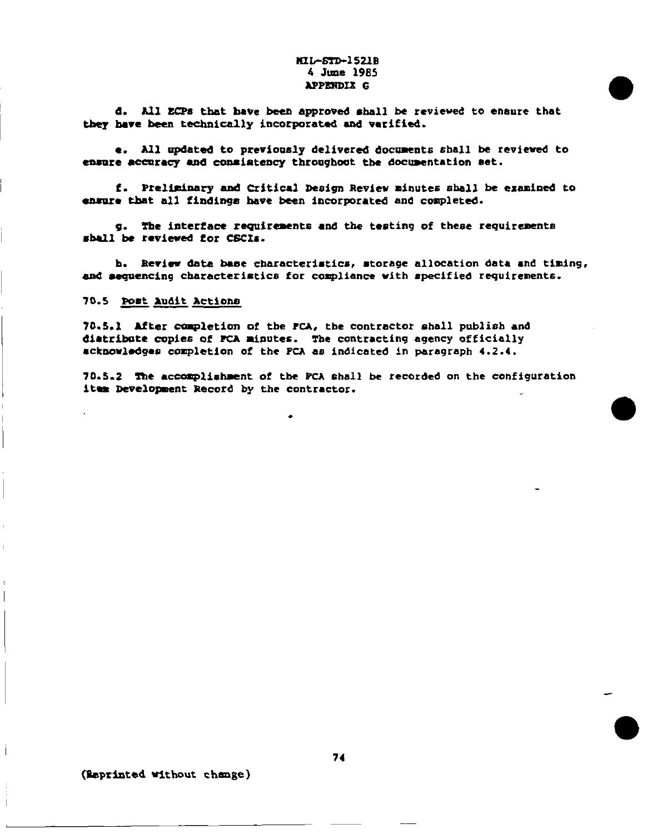### MIL-STD-1521B 4 June 1985 **APPENDIX G**

d. All ECPs that have been approved shall be reviewed to ensure that they have been technically incorporated and varified.

e. All updated to previously delivered documents shall be reviewed to ensure accuracy and consistency throughout the documentation set.

f. Preliminary and Critical Design Review minutes shall be examined to ensure that all findings have been incorporated and completed.

g. The interface requirements and the testing of these requirements shall be reviewed for CSCIs.

b. Review data base characteristics, storage allocation data and timing, and aequencing characteristics for compliance with specified requirements.

### 70.5 Post Audit Actions

70.5.1 After completion of the PCA, the contractor shall publish and distribute copies of PCA minutes. The contracting agency officially acknowledges completion of the PCA as indicated in paragraph 4.2.4.

70.5.2 The accomplishment of the PCA shall be recorded on the configuration item Development Record by the contractor.

(Reprinted without change)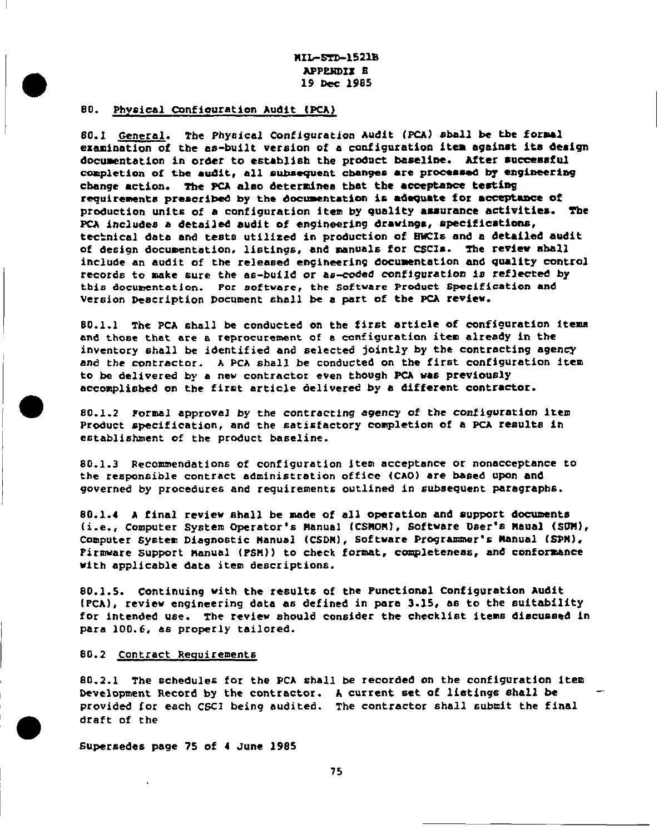nIL+Tm-1521B APPENDIX R 19 Dec 1985

### 80. Physical Configuration Audit (PCA)

80.1 General. *Tbe* **Phy6ical** Configuration Audit (XA) 61ball be kbe *formal* examination of the as-built version *of a Configuration* item against its design documentation in order to establish the product baseline. After successful completion of the audit, all subsequent changes are processed by engineering change action. The PCA also determines that the acceptance testing requirements preacribed by the documentation is adequate for acceptance of production units of a configuration item by quality assurance activities. The PCA includes a detailed audit of engineering drawings, specifications, technical data and tests utilized in production of EWCIs and a detailed audit of design documentation, listings, and manuals for CSCIs. The review shall include an audit of the released engineering documentation and quality control records to make sure the as-build or as-coded configuration is reflected by this documentation. For software, the Software Product Specification and Version Description Document shall be a part of the PCA review.

80.1.1 The PCA shall be conducted on the first article of configuration items and those that are a repracurement of a configuration item already in the inventory shall be identified and selected jointly by the contracting agency and the contractor. A PCA shall be conducted on the first configuration item to ba delivered by a new contractor even though PCA was previously accomplished on the first article delivered by a different contractor.

80.1.2 Formal approval by the contracting agency of the configuration item Product specification, and the satisfactory completion of a PCA results in establishment of the product baseline.

80.1.3 Recommendations of configuration item acceptance or nonacceptance to the responsible contract administration office (CAO) are based upon and governed by procedures and requirements outlined in subsequent paragraphs.

80.1.4 A final review shall be made of all operation and support documents (i.e., Computer System Operator's Manual (CSMOM), Software Dser's Maual (SUM), Computer System Diagnostic Hanual (CSDN), Software Programmer's Manual (SPN), Firmware Support nanual (FSPI)) to check **format,** completenea6, and conferasnce with applicable data item descriptions.

*80.1.5.* Continuing with the results of the Functional Configuration Audit (PCA), review engineering data as defined in para 3.15, as **to** the suitability for intended use. The review should consider the checklist items discussed in para 100.6, as properly tailored.

### 80.2 Contract Requirements

 $80.2.1$  The schedules for the PCA shall be recorded on the configuration item Development Record by the contractor. A current set of listings shall be provided for each CSCI being audited. The contractor shall submit the final draft **of** the

Supersedes page 75 of 4 June 198S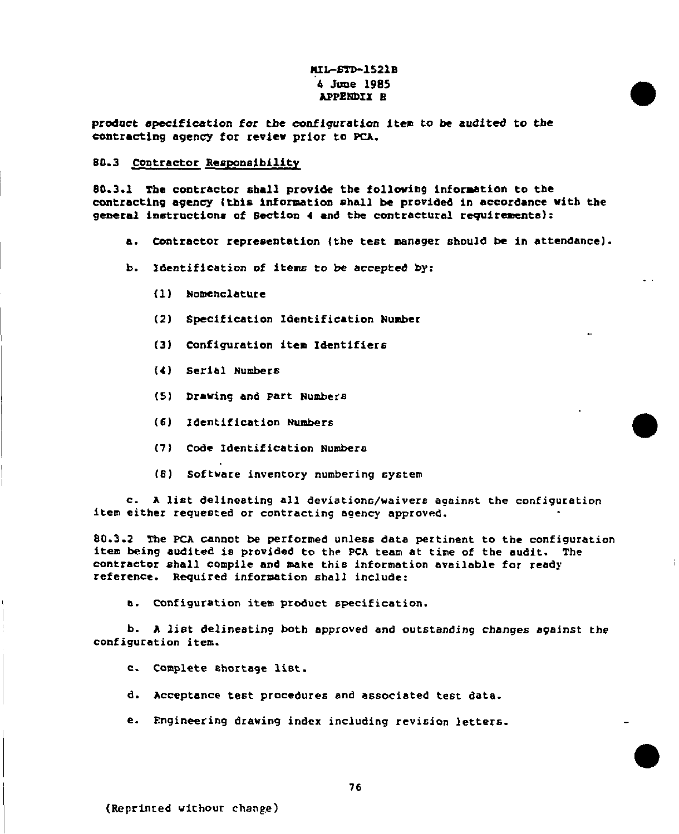# MIL-STD-1521B 4 June 1985 **APPENDIX B**

product specification for the configuration item to be audited to the contracting agency for review prior to PCA.

#### 80.3 Contractor Responsibility

80.3.1 The contractor shall provide the following information to the contracting agency (this information shall be provided in accordance with the general instructions of Section 4 and the contractural requirements):

corntraction in formation shall be provided in accordance with the provided in accordance with the provided in

- a. Contractor representation (the test manager should be in attendance).
- Identification o**f** 
	- (1) Nomenclature Identification Identification Identification Identification Identification Identification Number
	- (2) Specification Identification P
	- (3) Configuration
	- (4) Serial Numbers
	- (5) Drawing and Part Numbe
	- (6) Identification Numbers
	- (7) Code Identification Numbers

item either reques:ed or contracting agency approved.

 $(8)$  Software inventory numbering system

c. A list delineating all deviations/waivers against the configuration<br>item either requested or contracting agency approved.

item being audited is provided **to** the PCA team at time of the audit. The

80.3.2 The PCA cannot be performed unless data pertinent to the configuration item being audited is provided to the PCA team at time of the audit. The contractor shall compile and make this information available for ready reference. Required information shall include:

b. Configuration item product specification.

b. A list delineating both approved and outstanding changes against the configuration item.

- c. Complete shortage list.
- d. Acceptance test procedures and associated test data.
- e. Engineering drawing index including revision letters.

**0**

L.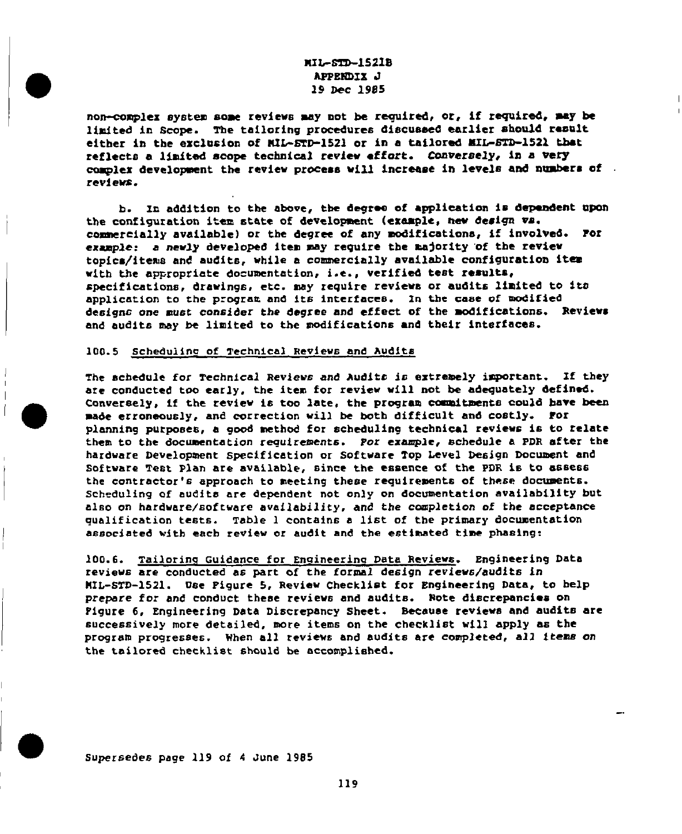# MIL-STD-1521B APPENDIX J 19 Dec 1985

non-complex system some reviews may not be required, or, if required, may be limited in Scope. The tailoring procedures discussed earlier should result either in the exclusion of MIL-STD-1521 or in a tailored MIL-STD-1521 that reflects a limited scope technical review effort. Conversely, in a very  $\mathsf{w}\mathsf{s}$ . La addition to the abmve, the abmve, the abmve, the dependent upon  $\mathsf{w}\mathsf{s}$ . the cenf iguration item state of development (●xample, **nmv** design Va.

b. In addition to the above, the degree of application is dependent upon the configuration item state of development (example, new design vs. commercially available) or the degree of any modifications, if involved. Por example: a newly developed item may require the majority of the review topica/items and audits, while a commercially available configuration item with the appropriate documentation, i.e., verified test results, specifications, drawings, etc. may require reviews or audits limited to its application to the program and its interfaces. In the case of modified designs one must consider the degree and effect of the modifications. Reviews and audits may be limited to the modifications and their interfaces.

### 100.5 Scheduling of Technical Reviews and Audits are conducted tao ●arly, the item for *review will* not be adequately defined.

'o

The schedule for Technical Reviews and Audits is extremely important. If they are conducted too early, the item for review will not be adequately defined. Conversely, if the review is too late, the program commitments could have been made erroneously, and correction will be both difficult and costly. Por planning purposes, a good method for scheduling technical reviews is to relate them to the documentation requirements. Por example, schedule a PDR after the hardware Development Specification or Software Top Level Design Document and Software Test Plan are available, since the essence of the PDR is to assess the contractor's approach to meeting these requirements of these documents. Scheduling of audits are dependent not only on documentation availability but also on hardware/software availability, and the completion of the acceptance<br>qualification tests. Table 1 contains a list of the primary documentation associated with each review or audit and the estimated time phasing:

100.6. Tailoring Guidance for Engineering Data Reviews. Engineering Data reviews are conducted as part of the formal design reviews/audits in MIL-STD-1521. Use Pigure 5, Review Checklist for Engineering Data, to help prepare for and conduct these reviews and audits. Note discrepancies on Pigure 6, Engineering Data Discrepancy Sheet. Because reviews and audits are successively more detailed, more items on the checklist will apply as the program progresses. When all reviews and audits are completed, all items on the tailored checklist should be accomplished.

Supersedes page 119 of 4 June 1985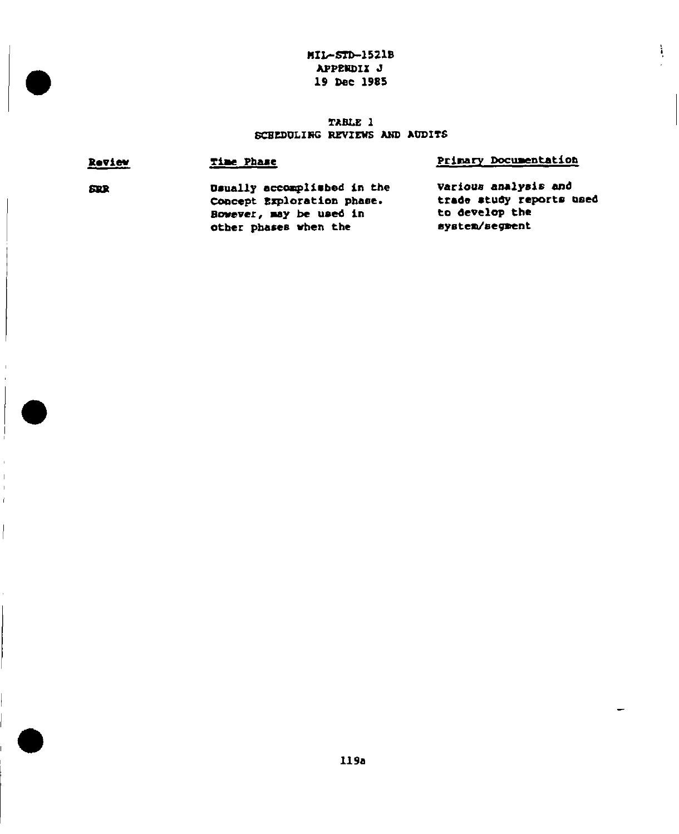# $M1 - STD-1521B$ APPENDIX J 19 Dec 1985

 $\overline{\phantom{a}}$ 

 $\frac{1}{2}$ 

-

# TABLE 1 SCHEDULING REVIEWS AND AUDITS

| Review     | Time Phase                                                                                                    | Primary Documentation                                                                |
|------------|---------------------------------------------------------------------------------------------------------------|--------------------------------------------------------------------------------------|
| <b>SDR</b> | Dsually accomplished in the<br>Concept Exploration phase.<br>Bowever, may be used in<br>other phases when the | Various analysis and<br>trade study reports used<br>to develop the<br>system/segment |

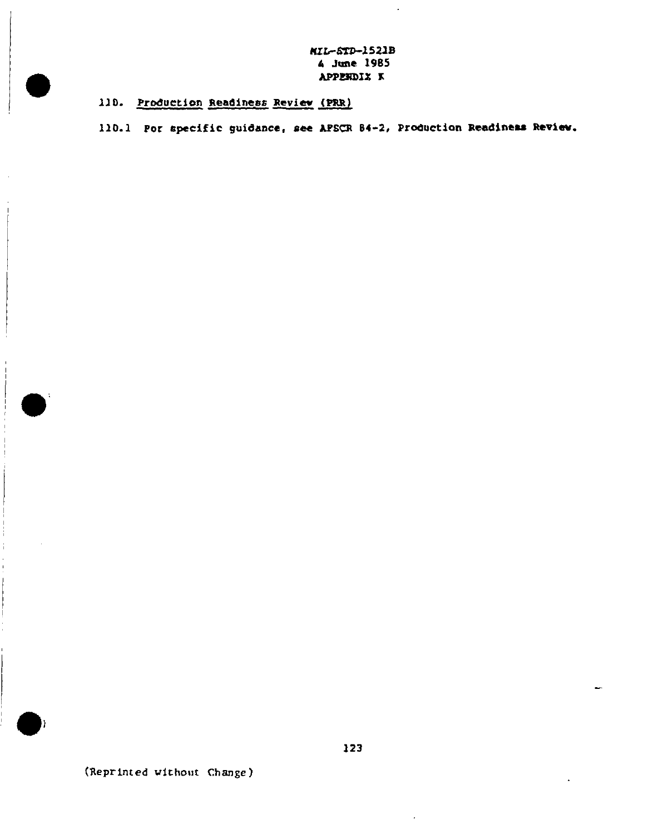MIL-STD-1521B 4 June 1985 APPENDIX K

 $\ddot{\phantom{1}}$ 

110. Production Readiness Review (PRR)

 $\bar{a}$ 

110.1 Por specific guidance, see APSCR 84-2, Production Readiness Review.

(Reprinted without Change)

h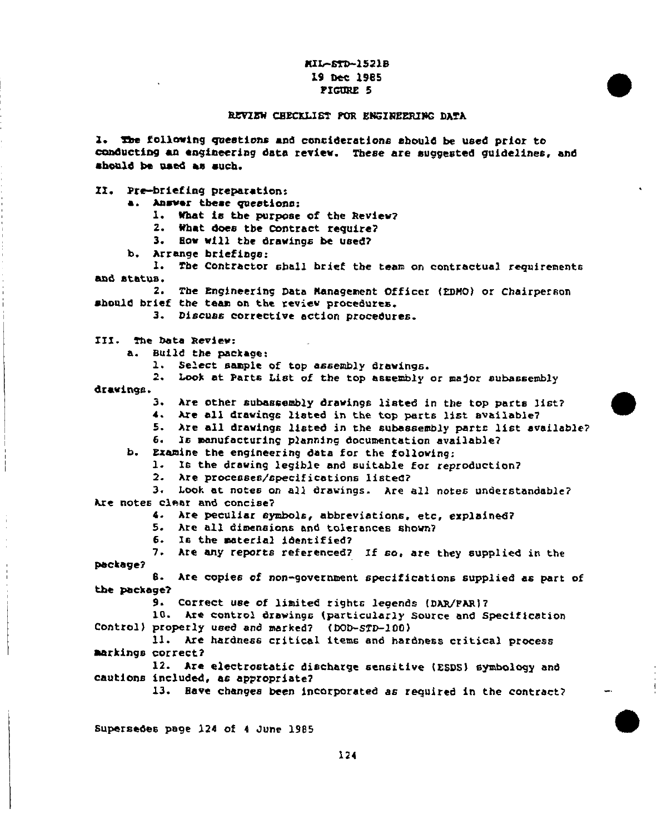## MIL-STD-1521B 19 Dec 1985 FIGURE 5

### REVIEW CHECKLIST POR ENGINEERING DATA

1. The following questions and considerations should be used prior to conducting an engineering data review. These are suggested guidelines, and should be used as such.

II. Pre-briefing preparation:

a. Answer these questions:

1. What is the purpose of the Review?

2. What does the Contract require?

3. How will the drawings be used?

b. Arrange briefings:

1. The Contractor shall brief the team on contractual requirements and status.

2. The Engineering Data Management Officer (EDMO) or Chairperson should brief the team on the review procedures.

3. Discuss corrective action procedures.

III. The Data Review:

Build the package: Δ.

1. Select sample of top assembly drawings.

2. Look at Parts List of the top assembly or major subassembly

drawings.

3. Are other subassembly drawings listed in the top parts list?

4. Are all drawings listed in the top parts list available?

5. Are all drawings listed in the subassembly parts list available?

6. Is manufacturing planning documentation available?

b. Examine the engineering data for the following:

1. Is the drawing legible and suitable for reproduction?

2. Are processes/specifications listed?

3. Look at notes on all drawings. Are all notes understandable? Are notes clear and concise?

4. Are peculiar symbols, abbreviations, etc, explained?

5. Are all dimensions and tolerances shown?

6. Is the material identified?

7. Are any reports referenced? If so, are they supplied in the package?

B. Are copies of non-government specifications supplied as part of the package?

9. Correct use of limited rights legends (DAR/FAR)?

10. Are control drawings (particularly Source and Specification Control) properly used and marked? (DOD-STD-100)

11. Are hardness critical items and hardness critical process markings correct?

12. Are electrostatic discharge sensitive (ESDS) symbology and cautions included, as appropriate?

13. Have changes been incorporated as required in the contract?

Supersedes page 124 of 4 June 1985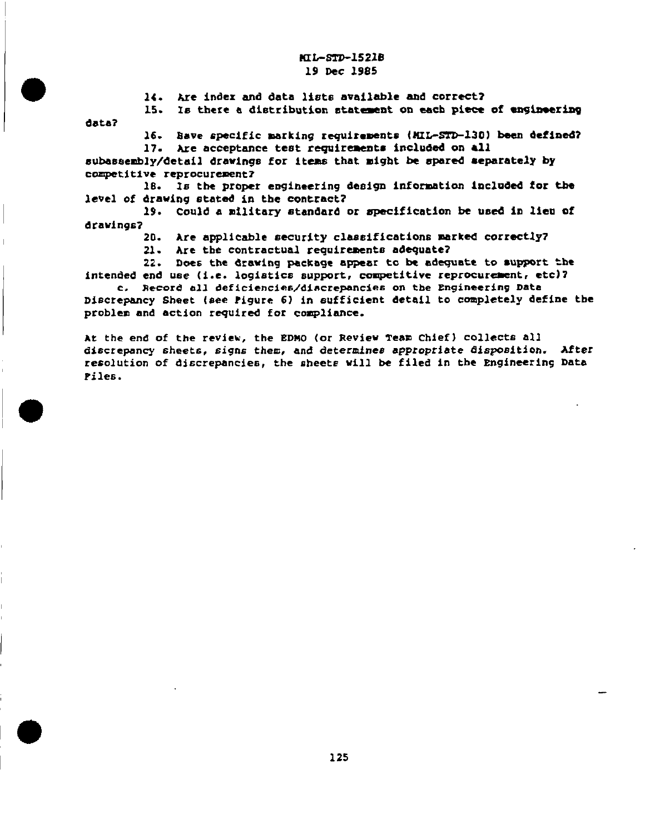### HI1-STO-1521B 19 Dac 1985

14. hre index and data lists available and correct?

I

15. Is there a distribution statement on each piece of engineering data?

16. Bave specific marking requirements (MIL-STD-130) been defined?

17. Are acceptance test requirements included on all subassembly/detail drawings for items that might be spared separately by competitive reprocurement?

18. Is the proper engineering design information included for the **level of** drawing atatad **in the** contract?

19. Could a military standard or mpedficatlon be used in lien Of dravinqs?

*20. Are* **applicable security** classifications merked correctly7

21. Are the contractual requirements adequate?

22. Does the drawing package appear to be adequate to support tbe intended end use (i.e. logistics support, competitive reprocurement, etc)?

c. Record all deficiencies/discrepancies on Cbe Engineering Data Discrepancy Sheet (see Pigure 6) in sufficient detail to completely define the problem and action required for compliance.

At **the end of** the review, the EDMo (or Review Team Chief) COlleCtS al] discrepancy sheets, signs *them, and* determine **appropriate dispmition.** After **resolution of di6crepancieB,** tbe sheete will be filed in the Engineering Data Files.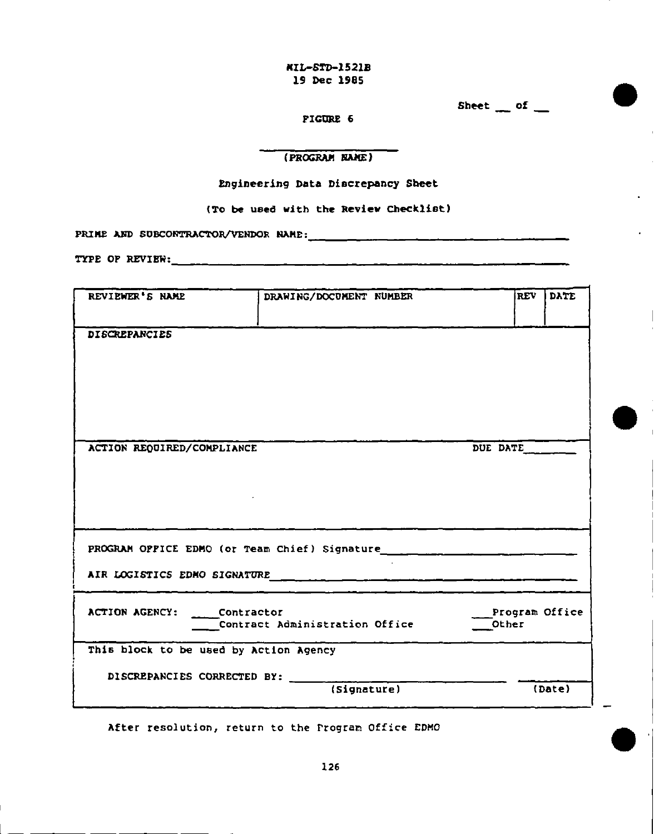*MIL+TD-1521B 19 NC 1985*

 $Sheet \t{of}$ 

● **'**

PIGURE 6

# (PROGRAM RANE)

### Engineering Data Discrepancy Sh<del>ee</del>t

(To be used with the Review Checklist)

PRIHE AND St2XO~C'm3S/W~R NAHE :

TYPE OF REVIEW:  $\frac{1}{2}$  and  $\frac{1}{2}$  and  $\frac{1}{2}$  and  $\frac{1}{2}$  and  $\frac{1}{2}$  and  $\frac{1}{2}$  and  $\frac{1}{2}$  and  $\frac{1}{2}$  and  $\frac{1}{2}$  and  $\frac{1}{2}$  and  $\frac{1}{2}$  and  $\frac{1}{2}$  and  $\frac{1}{2}$  and  $\frac{1}{2}$  and  $\frac{1}{2}$ 

| REVIEWER'S NAME                                                       | DRAWING/DOCUMENT NUMBER        | DATE<br><b>REV</b>      |
|-----------------------------------------------------------------------|--------------------------------|-------------------------|
| <b>DISCREPANCIES</b>                                                  |                                |                         |
| ACTION REQUIRED/COMPLIANCE                                            |                                | DUE DATE                |
|                                                                       |                                |                         |
|                                                                       |                                |                         |
| ACTION AGENCY: Contractor                                             | Contract Administration Office | Program Office<br>Other |
| This block to be used by Action Agency<br>DISCREPANCIES CORRECTED BY: |                                |                         |
|                                                                       | (Signature)                    | (Date)                  |

After resolution, return to the rrogram office EDMO